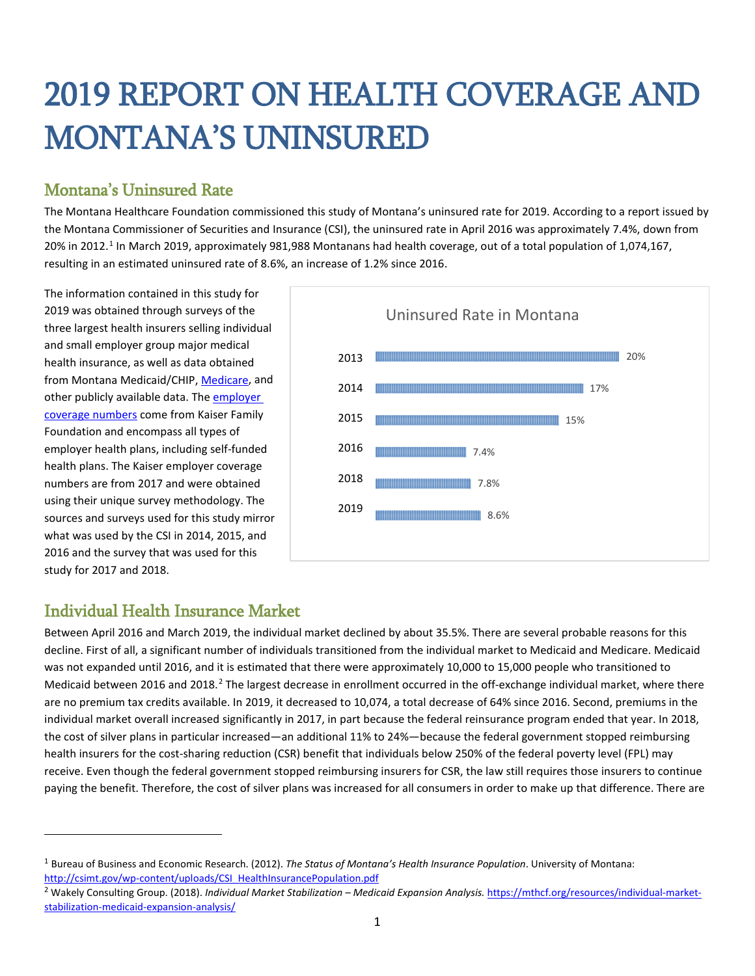# 2019 REPORT ON HEALTH COVERAGE AND MONTANA'S UNINSURED

## Montana's Uninsured Rate

The Montana Healthcare Foundation commissioned this study of Montana's uninsured rate for 2019. According to a report issued by the Montana Commissioner of Securities and Insurance (CSI), the uninsured rate in April 2016 was approximately 7.4%, down from 20% in 20[1](#page-0-0)2.<sup>1</sup> In March 2019, approximately 981,988 Montanans had health coverage, out of a total population of 1,074,167, resulting in an estimated uninsured rate of 8.6%, an increase of 1.2% since 2016.

The information contained in this study for 2019 was obtained through surveys of the three largest health insurers selling individual and small employer group major medical health insurance, as well as data obtained from Montana Medicaid/CHIP, [Medicare,](https://www.cms.gov/Research-Statistics-Data-and-Systems/Statistics-Trends-and-Reports/Dashboard/Medicare-Enrollment/Enrollment%20Dashboard.html) and other publicly available data. The [employer](https://www.kff.org/other/state-indicator/total-population)  [coverage numbers c](https://www.kff.org/other/state-indicator/total-population)ome from Kaiser Family Foundation and encompass all types of employer health plans, including self-funded health plans. The Kaiser employer coverage numbers are from 2017 and were obtained using their unique survey methodology. The sources and surveys used for this study mirror what was used by the CSI in 2014, 2015, and 2016 and the survey that was used for this study for 2017 and 2018.



### Individual Health Insurance Market

l

Between April 2016 and March 2019, the individual market declined by about 35.5%. There are several probable reasons for this decline. First of all, a significant number of individuals transitioned from the individual market to Medicaid and Medicare. Medicaid was not expanded until 2016, and it is estimated that there were approximately 10,000 to 15,000 people who transitioned to Medicaid between [2](#page-0-1)016 and 2018.<sup>2</sup> The largest decrease in enrollment occurred in the off-exchange individual market, where there are no premium tax credits available. In 2019, it decreased to 10,074, a total decrease of 64% since 2016. Second, premiums in the individual market overall increased significantly in 2017, in part because the federal reinsurance program ended that year. In 2018, the cost of silver plans in particular increased—an additional 11% to 24%—because the federal government stopped reimbursing health insurers for the cost-sharing reduction (CSR) benefit that individuals below 250% of the federal poverty level (FPL) may receive. Even though the federal government stopped reimbursing insurers for CSR, the law still requires those insurers to continue paying the benefit. Therefore, the cost of silver plans was increased for all consumers in order to make up that difference. There are

<span id="page-0-0"></span><sup>1</sup> Bureau of Business and Economic Research. (2012). *The Status of Montana's Health Insurance Population*. University of Montana: [http://csimt.gov/wp-content/uploads/CSI\\_HealthInsurancePopulation.pdf](http://csimt.gov/wp-content/uploads/CSI_HealthInsurancePopulation.pdf)

<span id="page-0-1"></span><sup>&</sup>lt;sup>2</sup> Wakely Consulting Group. (2018). Individual Market Stabilization – Medicaid Expansion Analysis. [https://mthcf.org/resources/individual-market](https://mthcf.org/resources/individual-market-stabilization-medicaid-expansion-analysis/)[stabilization-medicaid-expansion-analysis/](https://mthcf.org/resources/individual-market-stabilization-medicaid-expansion-analysis/)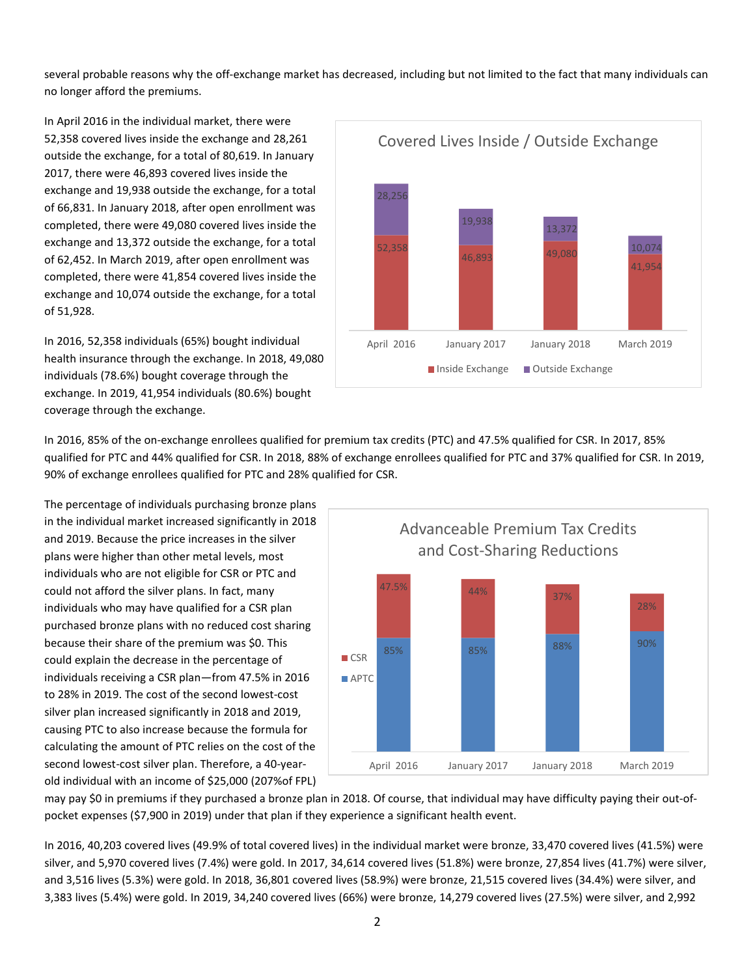several probable reasons why the off-exchange market has decreased, including but not limited to the fact that many individuals can no longer afford the premiums.

In April 2016 in the individual market, there were 52,358 covered lives inside the exchange and 28,261 outside the exchange, for a total of 80,619. In January 2017, there were 46,893 covered lives inside the exchange and 19,938 outside the exchange, for a total of 66,831. In January 2018, after open enrollment was completed, there were 49,080 covered lives inside the exchange and 13,372 outside the exchange, for a total of 62,452. In March 2019, after open enrollment was completed, there were 41,854 covered lives inside the exchange and 10,074 outside the exchange, for a total of 51,928.

In 2016, 52,358 individuals (65%) bought individual health insurance through the exchange. In 2018, 49,080 individuals (78.6%) bought coverage through the exchange. In 2019, 41,954 individuals (80.6%) bought coverage through the exchange.



In 2016, 85% of the on-exchange enrollees qualified for premium tax credits (PTC) and 47.5% qualified for CSR. In 2017, 85% qualified for PTC and 44% qualified for CSR. In 2018, 88% of exchange enrollees qualified for PTC and 37% qualified for CSR. In 2019, 90% of exchange enrollees qualified for PTC and 28% qualified for CSR.

The percentage of individuals purchasing bronze plans in the individual market increased significantly in 2018 and 2019. Because the price increases in the silver plans were higher than other metal levels, most individuals who are not eligible for CSR or PTC and could not afford the silver plans. In fact, many individuals who may have qualified for a CSR plan purchased bronze plans with no reduced cost sharing because their share of the premium was \$0. This could explain the decrease in the percentage of individuals receiving a CSR plan—from 47.5% in 2016 to 28% in 2019. The cost of the second lowest-cost silver plan increased significantly in 2018 and 2019, causing PTC to also increase because the formula for calculating the amount of PTC relies on the cost of the second lowest-cost silver plan. Therefore, a 40-yearold individual with an income of \$25,000 (207%of FPL)



may pay \$0 in premiums if they purchased a bronze plan in 2018. Of course, that individual may have difficulty paying their out-ofpocket expenses (\$7,900 in 2019) under that plan if they experience a significant health event.

In 2016, 40,203 covered lives (49.9% of total covered lives) in the individual market were bronze, 33,470 covered lives (41.5%) were silver, and 5,970 covered lives (7.4%) were gold. In 2017, 34,614 covered lives (51.8%) were bronze, 27,854 lives (41.7%) were silver, and 3,516 lives (5.3%) were gold. In 2018, 36,801 covered lives (58.9%) were bronze, 21,515 covered lives (34.4%) were silver, and 3,383 lives (5.4%) were gold. In 2019, 34,240 covered lives (66%) were bronze, 14,279 covered lives (27.5%) were silver, and 2,992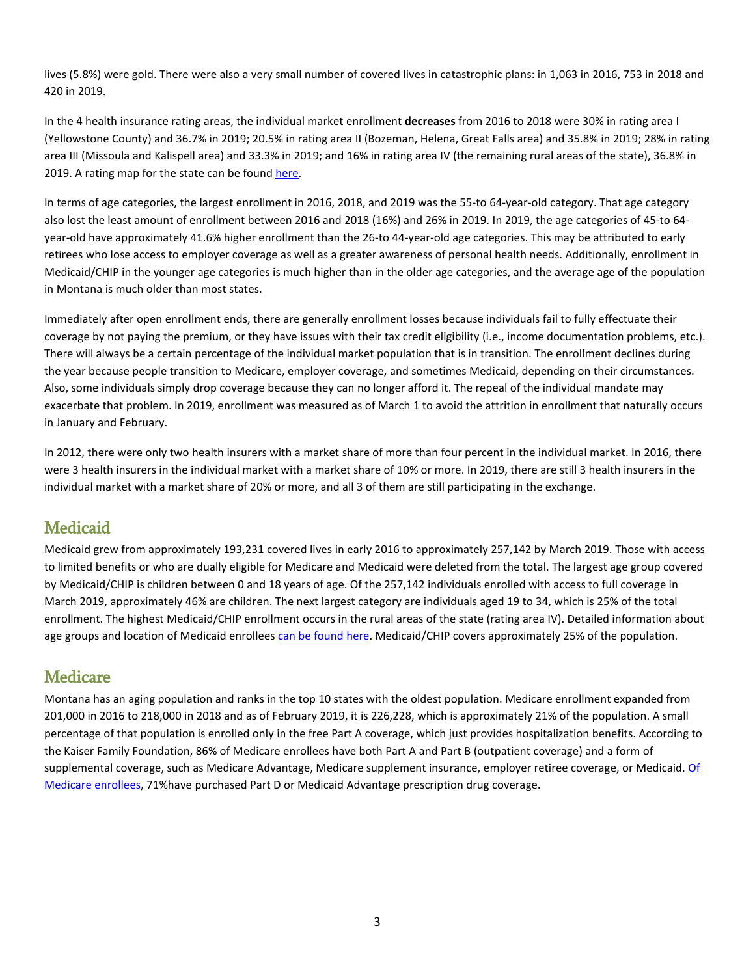lives (5.8%) were gold. There were also a very small number of covered lives in catastrophic plans: in 1,063 in 2016, 753 in 2018 and 420 in 2019.

In the 4 health insurance rating areas, the individual market enrollment **decreases** from 2016 to 2018 were 30% in rating area I (Yellowstone County) and 36.7% in 2019; 20.5% in rating area II (Bozeman, Helena, Great Falls area) and 35.8% in 2019; 28% in rating area III (Missoula and Kalispell area) and 33.3% in 2019; and 16% in rating area IV (the remaining rural areas of the state), 36.8% in 2019. A rating map for the state can be foun[d here.](https://www.cms.gov/CCIIO/Programs-and-Initiatives/Health-Insurance-Market-Reforms/mt-gra.html)

In terms of age categories, the largest enrollment in 2016, 2018, and 2019 was the 55-to 64-year-old category. That age category also lost the least amount of enrollment between 2016 and 2018 (16%) and 26% in 2019. In 2019, the age categories of 45-to 64 year-old have approximately 41.6% higher enrollment than the 26-to 44-year-old age categories. This may be attributed to early retirees who lose access to employer coverage as well as a greater awareness of personal health needs. Additionally, enrollment in Medicaid/CHIP in the younger age categories is much higher than in the older age categories, and the average age of the population in Montana is much older than most states.

Immediately after open enrollment ends, there are generally enrollment losses because individuals fail to fully effectuate their coverage by not paying the premium, or they have issues with their tax credit eligibility (i.e., income documentation problems, etc.). There will always be a certain percentage of the individual market population that is in transition. The enrollment declines during the year because people transition to Medicare, employer coverage, and sometimes Medicaid, depending on their circumstances. Also, some individuals simply drop coverage because they can no longer afford it. The repeal of the individual mandate may exacerbate that problem. In 2019, enrollment was measured as of March 1 to avoid the attrition in enrollment that naturally occurs in January and February.

In 2012, there were only two health insurers with a market share of more than four percent in the individual market. In 2016, there were 3 health insurers in the individual market with a market share of 10% or more. In 2019, there are still 3 health insurers in the individual market with a market share of 20% or more, and all 3 of them are still participating in the exchange.

#### **Medicaid**

Medicaid grew from approximately 193,231 covered lives in early 2016 to approximately 257,142 by March 2019. Those with access to limited benefits or who are dually eligible for Medicare and Medicaid were deleted from the total. The largest age group covered by Medicaid/CHIP is children between 0 and 18 years of age. Of the 257,142 individuals enrolled with access to full coverage in March 2019, approximately 46% are children. The next largest category are individuals aged 19 to 34, which is 25% of the total enrollment. The highest Medicaid/CHIP enrollment occurs in the rural areas of the state (rating area IV). Detailed information about age groups and location of Medicaid enrollee[s can be found here.](https://mthcf.org/wp-content/uploads/2019/06/2019-Health-Plan-Enrollment-Data.pdf) Medicaid/CHIP covers approximately 25% of the population.

#### **Medicare**

Montana has an aging population and ranks in the top 10 states with the oldest population. Medicare enrollment expanded from 201,000 in 2016 to 218,000 in 2018 and as of February 2019, it is 226,228, which is approximately 21% of the population. A small percentage of that population is enrolled only in the free Part A coverage, which just provides hospitalization benefits. According to the Kaiser Family Foundation, 86% of Medicare enrollees have both Part A and Part B (outpatient coverage) and a form of supplemental coverage, such as Medicare Advantage, Medicare supplement insurance, employer retiree coverage, or Medicaid. [Of](https://assets.aarp.org/rgcenter/health/fs149_medicare.pdf)  [Medicare enrollees,](https://assets.aarp.org/rgcenter/health/fs149_medicare.pdf) 71%have purchased Part D or Medicaid Advantage prescription drug coverage.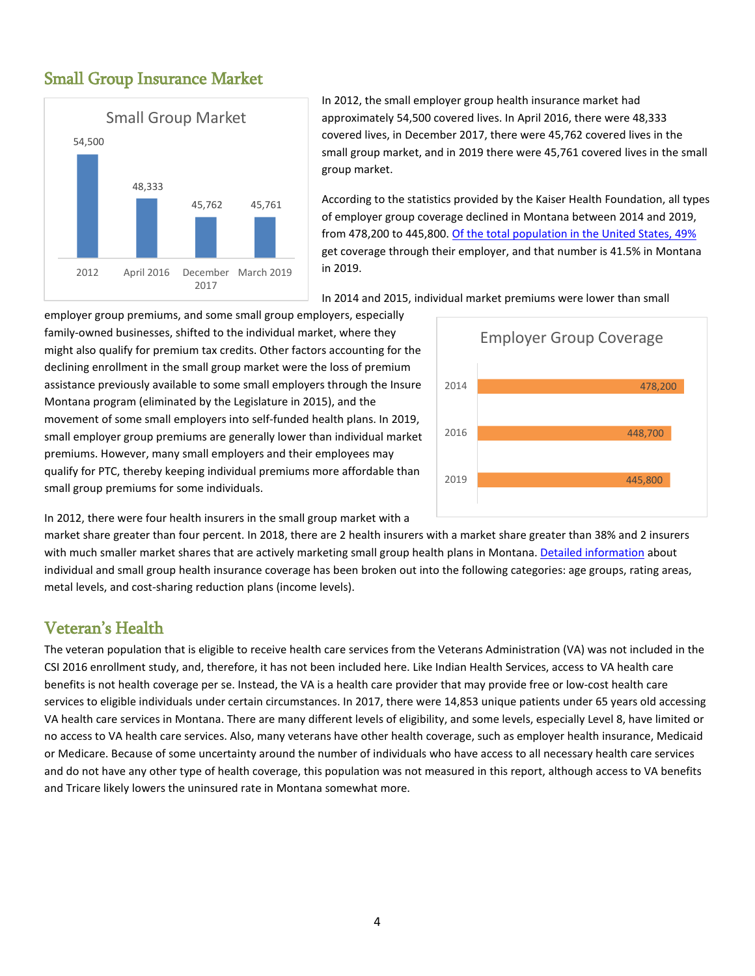

In 2012, the small employer group health insurance market had approximately 54,500 covered lives. In April 2016, there were 48,333 covered lives, in December 2017, there were 45,762 covered lives in the small group market, and in 2019 there were 45,761 covered lives in the small group market.

According to the statistics provided by the Kaiser Health Foundation, all types of employer group coverage declined in Montana between 2014 and 2019, from 478,200 to 445,800. [Of the total population in the United States, 49%](https://www.kff.org/other/state-indicator/total-population/?currentTimeframe=0&sortModel=%7B%22colId%22:%22Location%22,%22sort%22:%22asc%22%7D) get coverage through their employer, and that number is 41.5% in Montana in 2019.

In 2014 and 2015, individual market premiums were lower than small

employer group premiums, and some small group employers, especially family-owned businesses, shifted to the individual market, where they might also qualify for premium tax credits. Other factors accounting for the declining enrollment in the small group market were the loss of premium assistance previously available to some small employers through the Insure Montana program (eliminated by the Legislature in 2015), and the movement of some small employers into self-funded health plans. In 2019, small employer group premiums are generally lower than individual market premiums. However, many small employers and their employees may qualify for PTC, thereby keeping individual premiums more affordable than small group premiums for some individuals.



In 2012, there were four health insurers in the small group market with a

market share greater than four percent. In 2018, there are 2 health insurers with a market share greater than 38% and 2 insurers with much smaller market shares that are actively marketing small group health plans in Montana[. Detailed information](https://mthcf.org/wp-content/uploads/2019/06/2019-Health-Plan-Enrollment-Data.pdf) about individual and small group health insurance coverage has been broken out into the following categories: age groups, rating areas, metal levels, and cost-sharing reduction plans (income levels).

#### Veteran's Health

The veteran population that is eligible to receive health care services from the Veterans Administration (VA) was not included in the CSI 2016 enrollment study, and, therefore, it has not been included here. Like Indian Health Services, access to VA health care benefits is not health coverage per se. Instead, the VA is a health care provider that may provide free or low-cost health care services to eligible individuals under certain circumstances. In 2017, there were 14,853 unique patients under 65 years old accessing VA health care services in Montana. There are many different levels of eligibility, and some levels, especially Level 8, have limited or no access to VA health care services. Also, many veterans have other health coverage, such as employer health insurance, Medicaid or Medicare. Because of some uncertainty around the number of individuals who have access to all necessary health care services and do not have any other type of health coverage, this population was not measured in this report, although access to VA benefits and Tricare likely lowers the uninsured rate in Montana somewhat more.

#### Small Group Insurance Market